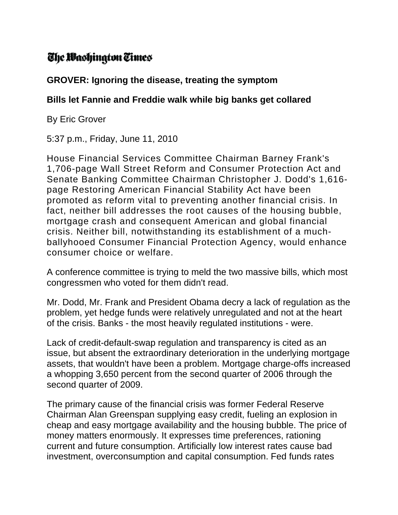## The Washington Times

## **GROVER: Ignoring the disease, treating the symptom**

## **Bills let Fannie and Freddie walk while big banks get collared**

By Eric Grover

5:37 p.m., Friday, June 11, 2010

House Financial Services Committee Chairman Barney Frank's 1,706-page Wall Street Reform and Consumer Protection Act and Senate Banking Committee Chairman Christopher J. Dodd's 1,616 page Restoring American Financial Stability Act have been promoted as reform vital to preventing another financial crisis. In fact, neither bill addresses the root causes of the housing bubble, mortgage crash and consequent American and global financial crisis. Neither bill, notwithstanding its establishment of a muchballyhooed Consumer Financial Protection Agency, would enhance consumer choice or welfare.

A conference committee is trying to meld the two massive bills, which most congressmen who voted for them didn't read.

Mr. Dodd, Mr. Frank and President Obama decry a lack of regulation as the problem, yet hedge funds were relatively unregulated and not at the heart of the crisis. Banks - the most heavily regulated institutions - were.

Lack of credit-default-swap regulation and transparency is cited as an issue, but absent the extraordinary deterioration in the underlying mortgage assets, that wouldn't have been a problem. Mortgage charge-offs increased a whopping 3,650 percent from the second quarter of 2006 through the second quarter of 2009.

The primary cause of the financial crisis was former Federal Reserve Chairman Alan Greenspan supplying easy credit, fueling an explosion in cheap and easy mortgage availability and the housing bubble. The price of money matters enormously. It expresses time preferences, rationing current and future consumption. Artificially low interest rates cause bad investment, overconsumption and capital consumption. Fed funds rates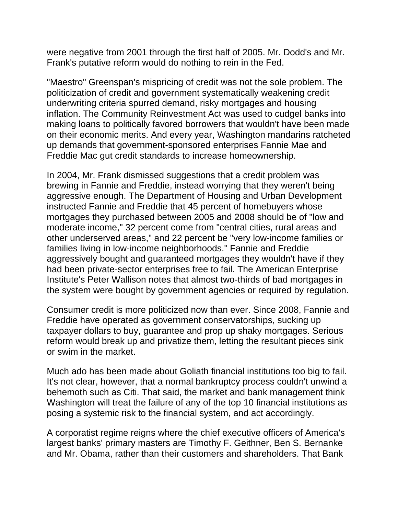were negative from 2001 through the first half of 2005. Mr. Dodd's and Mr. Frank's putative reform would do nothing to rein in the Fed.

"Maestro" Greenspan's mispricing of credit was not the sole problem. The politicization of credit and government systematically weakening credit underwriting criteria spurred demand, risky mortgages and housing inflation. The Community Reinvestment Act was used to cudgel banks into making loans to politically favored borrowers that wouldn't have been made on their economic merits. And every year, Washington mandarins ratcheted up demands that government-sponsored enterprises Fannie Mae and Freddie Mac gut credit standards to increase homeownership.

In 2004, Mr. Frank dismissed suggestions that a credit problem was brewing in Fannie and Freddie, instead worrying that they weren't being aggressive enough. The Department of Housing and Urban Development instructed Fannie and Freddie that 45 percent of homebuyers whose mortgages they purchased between 2005 and 2008 should be of "low and moderate income," 32 percent come from "central cities, rural areas and other underserved areas," and 22 percent be "very low-income families or families living in low-income neighborhoods." Fannie and Freddie aggressively bought and guaranteed mortgages they wouldn't have if they had been private-sector enterprises free to fail. The American Enterprise Institute's Peter Wallison notes that almost two-thirds of bad mortgages in the system were bought by government agencies or required by regulation.

Consumer credit is more politicized now than ever. Since 2008, Fannie and Freddie have operated as government conservatorships, sucking up taxpayer dollars to buy, guarantee and prop up shaky mortgages. Serious reform would break up and privatize them, letting the resultant pieces sink or swim in the market.

Much ado has been made about Goliath financial institutions too big to fail. It's not clear, however, that a normal bankruptcy process couldn't unwind a behemoth such as Citi. That said, the market and bank management think Washington will treat the failure of any of the top 10 financial institutions as posing a systemic risk to the financial system, and act accordingly.

A corporatist regime reigns where the chief executive officers of America's largest banks' primary masters are Timothy F. Geithner, Ben S. Bernanke and Mr. Obama, rather than their customers and shareholders. That Bank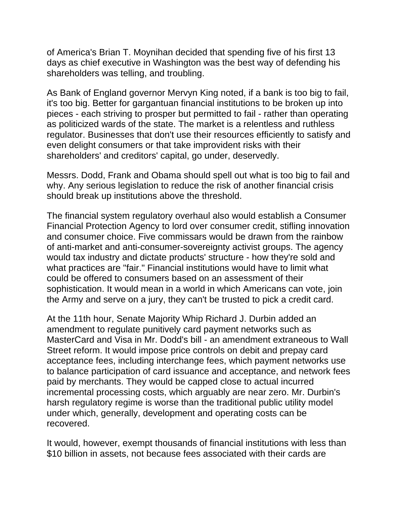of America's Brian T. Moynihan decided that spending five of his first 13 days as chief executive in Washington was the best way of defending his shareholders was telling, and troubling.

As Bank of England governor Mervyn King noted, if a bank is too big to fail, it's too big. Better for gargantuan financial institutions to be broken up into pieces - each striving to prosper but permitted to fail - rather than operating as politicized wards of the state. The market is a relentless and ruthless regulator. Businesses that don't use their resources efficiently to satisfy and even delight consumers or that take improvident risks with their shareholders' and creditors' capital, go under, deservedly.

Messrs. Dodd, Frank and Obama should spell out what is too big to fail and why. Any serious legislation to reduce the risk of another financial crisis should break up institutions above the threshold.

The financial system regulatory overhaul also would establish a Consumer Financial Protection Agency to lord over consumer credit, stifling innovation and consumer choice. Five commissars would be drawn from the rainbow of anti-market and anti-consumer-sovereignty activist groups. The agency would tax industry and dictate products' structure - how they're sold and what practices are "fair." Financial institutions would have to limit what could be offered to consumers based on an assessment of their sophistication. It would mean in a world in which Americans can vote, join the Army and serve on a jury, they can't be trusted to pick a credit card.

At the 11th hour, Senate Majority Whip Richard J. Durbin added an amendment to regulate punitively card payment networks such as MasterCard and Visa in Mr. Dodd's bill - an amendment extraneous to Wall Street reform. It would impose price controls on debit and prepay card acceptance fees, including interchange fees, which payment networks use to balance participation of card issuance and acceptance, and network fees paid by merchants. They would be capped close to actual incurred incremental processing costs, which arguably are near zero. Mr. Durbin's harsh regulatory regime is worse than the traditional public utility model under which, generally, development and operating costs can be recovered.

It would, however, exempt thousands of financial institutions with less than \$10 billion in assets, not because fees associated with their cards are